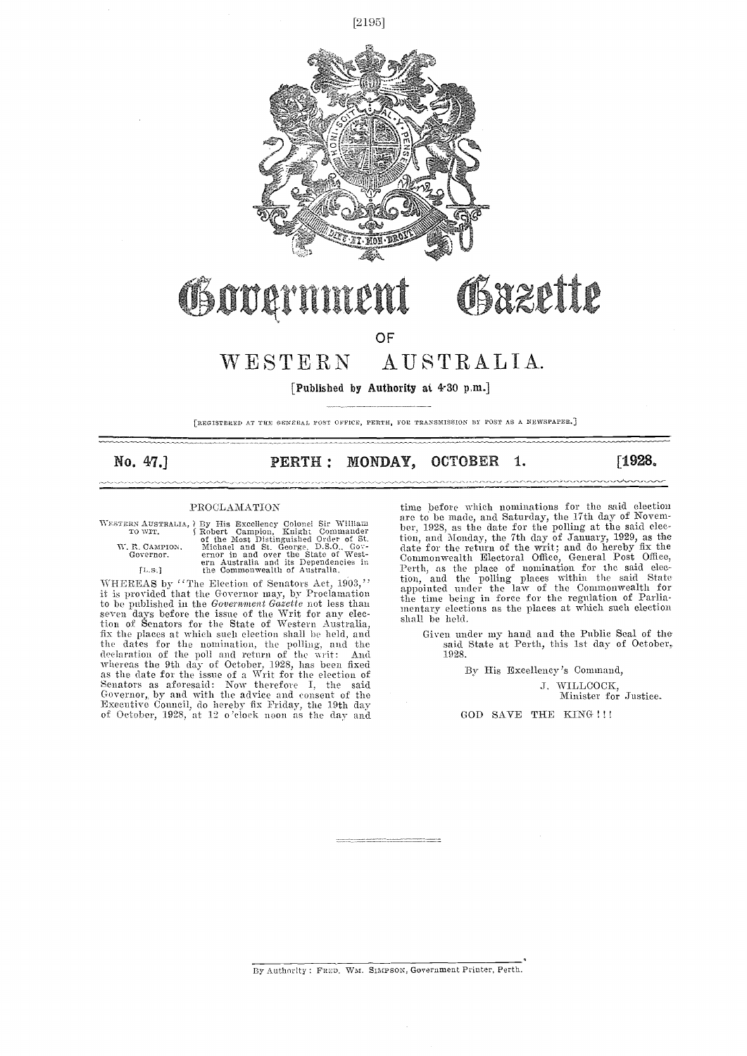

#### OSazette Goodan TYP

OF

## WESTERN AUSTRALIA.

[Published by Authority at 4.30 p.m.]

[REGISTERED AT THE GENERAL POST OFFICE, PERTH, FOR TRANSMISSION BY POST AS A NEWSPAPER.]

<u>manamann</u>

## No. 47.] **PERTH : MONDAY, OCTOBER 1.** [1928.]

#### PROCLAMATION

WESTERN AUSTRALIA, By His Excellency Colonel Sir William To WIT. (Robert Campion, Kinghit Commander of the Most Distinguished Order of St.<br>
W. R. CAMPION, Michael and St. George, D.S.O., Governor. The most provided and St.

,,,,,,,,,,,,,,,,,,,,,,,,,,,,,,,

WHEREAS by "The Election of Senators Act,  $1903$ ," it is provided that the Governor may, by Proclamation  $\frac{\text{appo}}{\text{tha }t}$ to be published in the Government Gazette not less than  $\frac{\text{true}}{\text{ment}}$ seven days before the issue of the Writ for any election of Senators for the State of Western Australia, shall fix the places at which such election shall be held, and ( the dates for the nomination, the polling, and the declaration of the poll and return of the writ: And whereas the 9th day of October, 1928, has been fixed as the date for the issue of a Writ for the election of Senators as aforesaid: Now therefore 1, the said Governor,, by and with the advice and consent of the Executive Council, do hereby fix Friday, the 19th day of October, 1928, at 12 o'clock noon as the day and

time before which nominations for the said election<br>are to be made, and Saturday, the 17th day of Novemare to be made, and Saturday, the 17th day of Novem- ber, 1928, as the date for the polling at the said election, and Monday, the 7th day of January, 1929, as the date for the return of the writ; and do hereby fix the Commonwealth Electoral Office, General Post Office, Perth, as the place of nomination for the said election, and the polling places within the said State appointed under the law of the Commonwealth for the time being in force for the regulation of Parlia- mentary elections as the places at which such election shall be held.

Given under my hand and the Public Seal of the said State at Perth, this 1st day of October, 1928.

By His Excellency's Command,

I. WILLCOCK, Minister for Justice.

GOD SAVE THE KING !!!

By Authority: FRED. WM. SIMPSON, Government Printer, Perth.